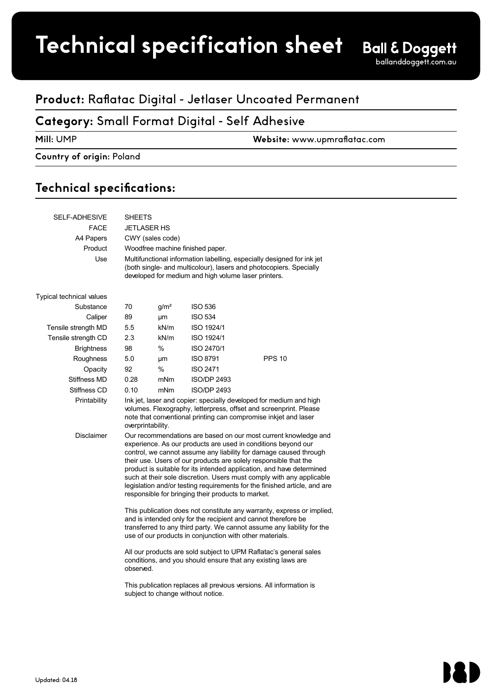# **Product spec sheet Technical specification sheet**

## **Product:** Raflatac Digital - Jetlaser Uncoated Permanent

### **Category:** Small Format Digital - Self Adhesive

 $U$  and  $U$  and  $U$  and  $U$  and  $U$  and  $U$  and  $U$  and  $U$  and  $U$  and  $U$  and  $U$ 

**Mill:** UMP **Website:** www.upmraflatac.com 1 (1)

### **Country of origin:** Poland

## Technical specifications:

| SELF-ADHESIVE            | <b>SHEETS</b>                                                                                                                                                                                                                                                                                                                                                                                                                                                                                                                                                 |                  |                    |               |  |  |  |
|--------------------------|---------------------------------------------------------------------------------------------------------------------------------------------------------------------------------------------------------------------------------------------------------------------------------------------------------------------------------------------------------------------------------------------------------------------------------------------------------------------------------------------------------------------------------------------------------------|------------------|--------------------|---------------|--|--|--|
| <b>FACE</b>              | <b>JETLASER HS</b>                                                                                                                                                                                                                                                                                                                                                                                                                                                                                                                                            |                  |                    |               |  |  |  |
| A4 Papers                | CWY (sales code)                                                                                                                                                                                                                                                                                                                                                                                                                                                                                                                                              |                  |                    |               |  |  |  |
| Product                  | Woodfree machine finished paper.                                                                                                                                                                                                                                                                                                                                                                                                                                                                                                                              |                  |                    |               |  |  |  |
| Use                      | Multifunctional information labelling, especially designed for ink jet<br>(both single- and multicolour), lasers and photocopiers. Specially<br>developed for medium and high volume laser printers.                                                                                                                                                                                                                                                                                                                                                          |                  |                    |               |  |  |  |
| Typical technical values |                                                                                                                                                                                                                                                                                                                                                                                                                                                                                                                                                               |                  |                    |               |  |  |  |
| Substance                | 70                                                                                                                                                                                                                                                                                                                                                                                                                                                                                                                                                            | g/m <sup>2</sup> | <b>ISO 536</b>     |               |  |  |  |
| Caliper                  | 89                                                                                                                                                                                                                                                                                                                                                                                                                                                                                                                                                            | μm               | <b>ISO 534</b>     |               |  |  |  |
| Tensile strength MD      | 5.5                                                                                                                                                                                                                                                                                                                                                                                                                                                                                                                                                           | kN/m             | ISO 1924/1         |               |  |  |  |
| Tensile strength CD      | 2.3                                                                                                                                                                                                                                                                                                                                                                                                                                                                                                                                                           | kN/m             | ISO 1924/1         |               |  |  |  |
| <b>Brightness</b>        | 98                                                                                                                                                                                                                                                                                                                                                                                                                                                                                                                                                            | %                | ISO 2470/1         |               |  |  |  |
| Roughness                | 5.0                                                                                                                                                                                                                                                                                                                                                                                                                                                                                                                                                           | μm               | <b>ISO 8791</b>    | <b>PPS 10</b> |  |  |  |
| Opacity                  | 92                                                                                                                                                                                                                                                                                                                                                                                                                                                                                                                                                            | $\%$             | <b>ISO 2471</b>    |               |  |  |  |
| Stiffness MD             | 0.28                                                                                                                                                                                                                                                                                                                                                                                                                                                                                                                                                          | mNm              | <b>ISO/DP 2493</b> |               |  |  |  |
| Stiffness CD             | 0.10                                                                                                                                                                                                                                                                                                                                                                                                                                                                                                                                                          | mNm              | <b>ISO/DP 2493</b> |               |  |  |  |
| Printability             | Ink jet, laser and copier: specially developed for medium and high<br>volumes. Flexography, letterpress, offset and screenprint. Please<br>note that conventional printing can compromise inkiet and laser<br>overprintability.                                                                                                                                                                                                                                                                                                                               |                  |                    |               |  |  |  |
| <b>Disclaimer</b>        | Our recommendations are based on our most current knowledge and<br>experience. As our products are used in conditions beyond our<br>control, we cannot assume any liability for damage caused through<br>their use. Users of our products are solely responsible that the<br>product is suitable for its intended application, and have determined<br>such at their sole discretion. Users must comply with any applicable<br>legislation and/or testing requirements for the finished article, and are<br>responsible for bringing their products to market. |                  |                    |               |  |  |  |
|                          | This publication does not constitute any warranty, express or implied,<br>and is intended only for the recipient and cannot therefore be<br>transferred to any third party. We cannot assume any liability for the<br>use of our products in conjunction with other materials.<br>All our products are sold subject to UPM Raflatac's general sales<br>conditions, and you should ensure that any existing laws are<br>observed.                                                                                                                              |                  |                    |               |  |  |  |
|                          |                                                                                                                                                                                                                                                                                                                                                                                                                                                                                                                                                               |                  |                    |               |  |  |  |
|                          | This publication replaces all previous versions. All information is<br>subject to change without notice.                                                                                                                                                                                                                                                                                                                                                                                                                                                      |                  |                    |               |  |  |  |